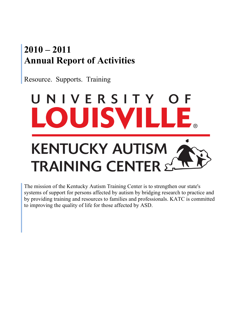# **Kentucky Autism Training Center 2010 – 2011 Containstance and Charitan Exercise Section** at Automorphe **1405 E. Burnett Avenue Annual Report of Activities**

Resource. Supports. Training



The mission of the Kentucky Autism Training Center is to strengthen our state's systems of support for persons affected by autism by bridging research to practice and by providing training and resources to families and professionals. KATC is committed to improving the quality of life for those affected by ASD.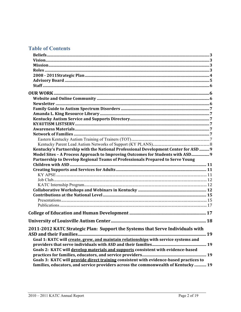# **Table of Contents**

| Kentucky's Partnership with the National Professional Development Center for ASD  9    |  |
|----------------------------------------------------------------------------------------|--|
| Model Sites - A Process Approach to Improving Outcomes for Students with ASD 9         |  |
| Partnership to Develop Regional Teams of Professionals Prepared to Serve Young         |  |
|                                                                                        |  |
|                                                                                        |  |
|                                                                                        |  |
|                                                                                        |  |
|                                                                                        |  |
|                                                                                        |  |
|                                                                                        |  |
|                                                                                        |  |
|                                                                                        |  |
|                                                                                        |  |
|                                                                                        |  |
| 2011-2012 KATC Strategic Plan: Support the Systems that Serve Individuals with         |  |
|                                                                                        |  |
| Goal 1: KATC will create, grow, and maintain relationships with service systems and    |  |
|                                                                                        |  |
|                                                                                        |  |
|                                                                                        |  |
| Goals 2: KATC will develop materials and supports consistent with evidence-based       |  |
| Goals 3: KATC will provide direct training consistent with evidence-based practices to |  |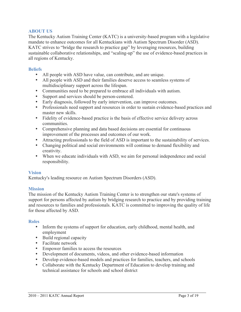# **ABOUT US**

The Kentucky Autism Training Center (KATC) is a university-based program with a legislative mandate to enhance outcomes for all Kentuckians with Autism Spectrum Disorder (ASD). KATC strives to "bridge the research to practice gap" by leveraging resources, building sustainable collaborative relationships, and "scaling-up" the use of evidence-based practices in all regions of Kentucky.

### **Beliefs**

- All people with ASD have value, can contribute, and are unique.
- All people with ASD and their families deserve access to seamless systems of multidisciplinary support across the lifespan.
- Communities need to be prepared to embrace all individuals with autism.
- Support and services should be person-centered.
- Early diagnosis, followed by early intervention, can improve outcomes.
- Professionals need support and resources in order to sustain evidence-based practices and master new skills.
- Fidelity of evidence-based practice is the basis of effective service delivery across communities.
- Comprehensive planning and data based decisions are essential for continuous improvement of the processes and outcomes of our work.
- Attracting professionals to the field of ASD is important to the sustainability of services.
- Changing political and social environments will continue to demand flexibility and creativity.
- When we educate individuals with ASD, we aim for personal independence and social responsibility.

# **Vision**

Kentucky's leading resource on Autism Spectrum Disorders (ASD).

# **Mission**

The mission of the Kentucky Autism Training Center is to strengthen our state's systems of support for persons affected by autism by bridging research to practice and by providing training and resources to families and professionals. KATC is committed to improving the quality of life for those affected by ASD.

# **Roles**

- Inform the systems of support for education, early childhood, mental health, and employment
- Build regional capacity
- Facilitate network
- Empower families to access the resources
- Development of documents, videos, and other evidence-based information
- Develop evidence-based models and practices for families, teachers, and schools
- Collaborate with the Kentucky Department of Education to develop training and technical assistance for schools and school district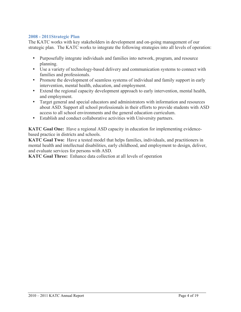# **2008 - 2011Strategic Plan**

The KATC works with key stakeholders in development and on-going management of our strategic plan. The KATC works to integrate the following strategies into all levels of operation:

- Purposefully integrate individuals and families into network, program, and resource planning.
- Use a variety of technology-based delivery and communication systems to connect with families and professionals.
- Promote the development of seamless systems of individual and family support in early intervention, mental health, education, and employment.
- Extend the regional capacity development approach to early intervention, mental health, and employment.
- Target general and special educators and administrators with information and resources about ASD. Support all school professionals in their efforts to provide students with ASD access to all school environments and the general education curriculum.
- Establish and conduct collaborative activities with University partners.

**KATC Goal One:** Have a regional ASD capacity in education for implementing evidencebased practice in districts and schools.

**KATC Goal Two:** Have a tested model that helps families, individuals, and practitioners in mental health and intellectual disabilities, early childhood, and employment to design, deliver, and evaluate services for persons with ASD.

**KATC Goal Three:** Enhance data collection at all levels of operation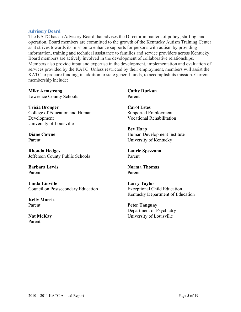#### **Advisory Board**

The KATC has an Advisory Board that advises the Director in matters of policy, staffing, and operation. Board members are committed to the growth of the Kentucky Autism Training Center as it strives towards its mission to enhance supports for persons with autism by providing information, training and technical assistance to families and service providers across Kentucky. Board members are actively involved in the development of collaborative relationships. Members also provide input and expertise in the development, implementation and evaluation of services provided by the KATC. Unless restricted by their employment, members will assist the KATC to procure funding, in addition to state general funds, to accomplish its mission. Current membership include:

**Mike Armstrong**  Lawrence County Schools

**Tricia Bronger** College of Education and Human Development University of Louisville

**Diane Cowne** Parent

**Rhonda Hedges**  Jefferson County Public Schools

**Barbara Lewis** Parent

**Linda Linville** Council on Postsecondary Education

**Kelly Morris** Parent

**Nat McKay**  Parent

**Cathy Durkan** Parent

**Carol Estes**  Supported Employment Vocational Rehabilitation

**Bev Harp** Human Development Institute University of Kentucky

**Laurie Spezzano** Parent

**Norma Thomas**  Parent

**Larry Taylor**  Exceptional Child Education Kentucky Department of Education

**Peter Tanguay**  Department of Psychiatry University of Louisville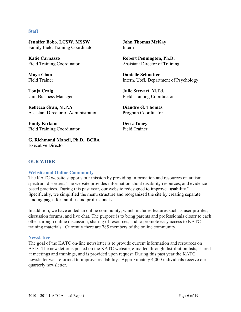#### **Staff**

**Jennifer Bobo, LCSW, MSSW** Family Field Training Coordinator

**Katie Carnazzo** Field Training Coordinator

**Maya Chan** Field Trainer

**Tonja Craig** Unit Business Manager

**Rebecca Grau, M.P.A** Assistant Director of Administration

**Emily Kirkam** Field Training Coordinator

**G. Richmond Mancil, Ph.D., BCBA** Executive Director

**John Thomas McKay** Intern

**Robert Pennington, Ph.D.** Assistant Director of Training

**Danielle Schnatter** Intern, UofL Department of Psychology

**Julie Stewart, M.Ed.** Field Training Coordinator

**Diandre G. Thomas** Program Coordinator

**Deric Toney** Field Trainer

# **OUR WORK**

#### **Website and Online Community**

The KATC website supports our mission by providing information and resources on autism spectrum disorders. The website provides information about disability resources, and evidencebased practices. During this past year, our website redesigned to improve "usability." Specifically, we simplified the menu structure and reorganized the site by creating separate landing pages for families and professionals.

In addition, we have added an online community, which includes features such as user profiles, discussion forums, and live chat. The purpose is to bring parents and professionals closer to each other through online discussion, sharing of resources, and to promote easy access to KATC training materials. Currently there are 785 members of the online community.

#### **Newsletter**

The goal of the KATC on-line newsletter is to provide current information and resources on ASD. The newsletter is posted on the KATC website, e-mailed through distribution lists, shared at meetings and trainings, and is provided upon request. During this past year the KATC newsletter was reformed to improve readability. Approximately 4,000 individuals receive our quarterly newsletter.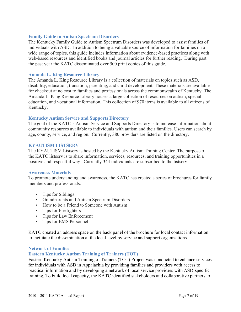# **Family Guide to Autism Spectrum Disorders**

The Kentucky Family Guide to Autism Spectrum Disorders was developed to assist families of individuals with ASD. In addition to being a valuable source of information for families on a wide range of topics, this guide includes information about evidence-based practices along with web-based resources and identified books and journal articles for further reading. During past the past year the KATC disseminated over 500 print copies of this guide.

#### **Amanda L. King Resource Library**

The Amanda L. King Resource Library is a collection of materials on topics such as ASD, disability, education, transition, parenting, and child development. These materials are available for checkout at no cost to families and professionals across the commonwealth of Kentucky. The Amanda L. King Resource Library houses a large collection of resources on autism, special education, and vocational information. This collection of 970 items is available to all citizens of Kentucky.

#### **Kentucky Autism Service and Supports Directory**

The goal of the KATC's Autism Service and Supports Directory is to increase information about community resources available to individuals with autism and their families. Users can search by age, county, service, and region. Currently, 380 providers are listed on the directory.

#### **KYAUTISM LISTSERV**

The KYAUTISM Listserv is hosted by the Kentucky Autism Training Center. The purpose of the KATC listserv is to share information, services, resources, and training opportunities in a positive and respectful way. Currently 344 individuals are subscribed to the listserv.

#### **Awareness Materials**

To promote understanding and awareness, the KATC has created a series of brochures for family members and professionals.

- Tips for Siblings
- Grandparents and Autism Spectrum Disorders
- How to be a Friend to Someone with Autism
- Tips for Firefighters
- Tips for Law Enforcement
- Tips for EMS Personnel

KATC created an address space on the back panel of the brochure for local contact information to facilitate the dissemination at the local level by service and support organizations.

#### **Network of Families**

#### **Eastern Kentucky Autism Training of Trainers (TOT)**

Eastern Kentucky Autism Training of Trainers (TOT) Project was conducted to enhance services for individuals with ASD in Appalachia by providing families and providers with access to practical information and by developing a network of local service providers with ASD-specific training. To build local capacity, the KATC identified stakeholders and collaborative partners to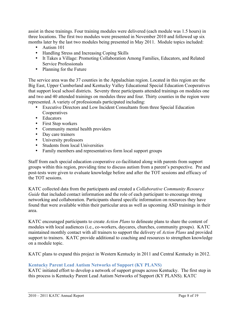assist in these trainings. Four training modules were delivered (each module was 1.5 hours) in three locations. The first two modules were presented in November 2010 and followed up six months later by the last two modules being presented in May 2011. Module topics included:

- Autism 101
- Handling Stress and Increasing Coping Skills
- It Takes a Village: Promoting Collaboration Among Families, Educators, and Related Service Professionals
- Planning for the Future

The service area was the 37 counties in the Appalachian region. Located in this region are the Big East, Upper Cumberland and Kentucky Valley Educational Special Education Cooperatives that support local school districts. Seventy three participants attended trainings on modules one and two and 40 attended trainings on modules three and four. Thirty counties in the region were represented. A variety of professionals participated including:

- Executive Directors and Low Incident Consultants from three Special Education Cooperatives
- Educators
- First Step workers
- Community mental health providers
- Day care trainers
- University professors
- Students from local Universities
- Family members and representatives form local support groups

Staff from each special education cooperative co-facilitated along with parents from support groups within this region, providing time to discuss autism from a parent's perspective. Pre and post-tests were given to evaluate knowledge before and after the TOT sessions and efficacy of the TOT sessions.

KATC collected data from the participants and created a *Collaborative Community Resource Guide* that included contact information and the role of each participant to encourage strong networking and collaboration. Participants shared specific information on resources they have found that were available within their particular area as well as upcoming ASD trainings in their area.

KATC encouraged participants to create *Action Plans* to delineate plans to share the content of modules with local audiences (i.e., co-workers, daycares, churches, community groups). KATC maintained monthly contact with all trainers to support the delivery of *Action Plans* and provided support to trainers. KATC provide additional to coaching and resources to strengthen knowledge on a module topic.

KATC plans to expand this project in Western Kentucky in 2011 and Central Kentucky in 2012.

# **Kentucky Parent Lead Autism Networks of Support (KY PLANS)**

KATC initiated effort to develop a network of support groups across Kentucky. The first step in this process is Kentucky Parent Lead Autism Networks of Support (KY PLANS). KATC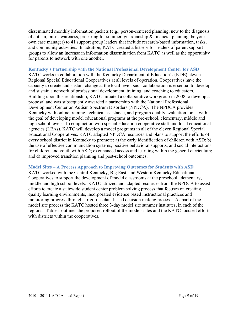disseminated monthly information packets (e.g., person-centered planning, new to the diagnosis of autism, raise awareness, preparing for summer, guardianship & financial planning, be your own case manager) to 41 support group leaders that include research-based information, tasks, and community activities. In addition, KATC created a listserv for leaders of parent support groups to allow an increase in information dissemination from KATC as well as the opportunity for parents to network with one another.

# **Kentucky's Partnership with the National Professional Development Center for ASD** KATC works in collaboration with the Kentucky Department of Education's (KDE) eleven Regional Special Educational Cooperatives at all levels of operation. Cooperatives have the capacity to create and sustain change at the local level; such collaboration is essential to develop and sustain a network of professional development, training, and coaching to educators. Building upon this relationship, KATC initiated a collaborative workgroup in 2008 to develop a

proposal and was subsequently awarded a partnership with the National Professional Development Center on Autism Spectrum Disorders (NPDCA). The NPDCA provides Kentucky with online training, technical assistance, and program quality evaluation tools, with the goal of developing model educational programs at the pre-school, elementary, middle and high school levels. In conjunction with special education cooperative staff and local educational agencies (LEAs), KATC will develop a model programs in all of the eleven Regional Special Educational Cooperatives. KATC adapted NPDCA resources and plans to support the efforts of every school district in Kentucky to promote: a) the early identification of children with ASD; b) the use of effective communication systems, positive behavioral supports, and social interactions for children and youth with ASD; c) enhanced access and learning within the general curriculum; and d) improved transition planning and post-school outcomes.

# **Model Sites – A Process Approach to Improving Outcomes for Students with ASD**

KATC worked with the Central Kentucky, Big East, and Western Kentucky Educational Cooperatives to support the development of model classrooms at the preschool, elementary, middle and high school levels. KATC utilized and adapted resources from the NPDCA to assist efforts to create a statewide student center problem solving process that focuses on creating quality learning environments, incorporated evidence based instructional practices and monitoring progress through a rigorous data-based decision making process. As part of the model site process the KATC hosted three 3-day model site summer institutes, in each of the regions. Table 1 outlines the proposed rollout of the models sites and the KATC focused efforts with districts within the cooperatives.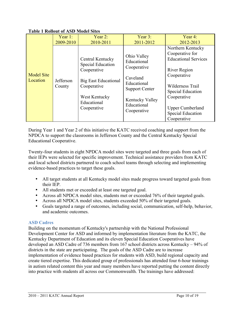|                               | Year $1$ :          | Year $2$ :                                                                                                                                               | Year $3$ :                                                                                                                                     | Year 4:                                                                                                                                                                                                                                 |
|-------------------------------|---------------------|----------------------------------------------------------------------------------------------------------------------------------------------------------|------------------------------------------------------------------------------------------------------------------------------------------------|-----------------------------------------------------------------------------------------------------------------------------------------------------------------------------------------------------------------------------------------|
|                               | 2009-2010           | 2010-2011                                                                                                                                                | 2011-2012                                                                                                                                      | 2012-2013                                                                                                                                                                                                                               |
| <b>Model Site</b><br>Location | Jefferson<br>County | Central Kentucky<br><b>Special Education</b><br>Cooperative<br><b>Big East Educational</b><br>Cooperative<br>West Kentucky<br>Educational<br>Cooperative | Ohio Valley<br>Educational<br>Cooperative<br>Caveland<br>Educational<br><b>Support Center</b><br>Kentucky Valley<br>Educational<br>Cooperative | Northern Kentucky<br>Cooperative for<br><b>Educational Services</b><br>River Region<br>Cooperative<br>Wilderness Trail<br><b>Special Education</b><br>Cooperative<br><b>Upper Cumberland</b><br><b>Special Education</b><br>Cooperative |

# **Table 1 Rollout of ASD Model Sites**

During Year 1 and Year 2 of this initiative the KATC received coaching and support from the NPDCA to support the classrooms in Jefferson County and the Central Kentucky Special Educational Cooperative.

Twenty-four students in eight NPDCA model sites were targeted and three goals from each of their IEPs were selected for specific improvement. Technical assistance providers from KATC and local school districts partnered to coach school teams through selecting and implementing evidence-based practices to target these goals.

- All target students at all Kentucky model sites made progress toward targeted goals from their IEP.
- All students met or exceeded at least one targeted goal.
- Across all NPDCA model sites, students met or exceeded 76% of their targeted goals.
- Across all NPDCA model sites, students exceeded 50% of their targeted goals.
- Goals targeted a range of outcomes, including social, communication, self-help, behavior, and academic outcomes.

# **ASD Cadres**

Building on the momentum of Kentucky's partnership with the National Professional Development Center for ASD and informed by implementation literature from the KATC, the Kentucky Department of Education and its eleven Special Education Cooperatives have developed an ASD Cadre of 736 members from 167 school districts across Kentucky – 94% of districts in the state are participating. The goals of the ASD Cadre are to increase implementation of evidence based practices for students with ASD, build regional capacity and create tiered expertise. This dedicated group of professionals has attended four 6-hour trainings in autism related content this year and many members have reported putting the content directly into practice with students all across our Commonwealth. The trainings have addressed: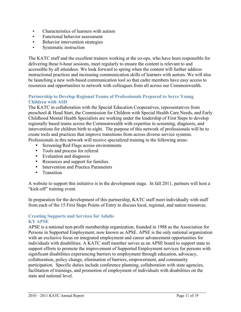- Characteristics of learners with autism
- Functional behavior assessment
- **•** Behavior intervention strategies
- Systematic instruction

The KATC staff and the excellent trainers working at the co-ops, who have been responsible for delivering these 6-hour sessions, meet regularly to ensure the content is relevant to and accessible by all attendees. We look forward to spring when the content will further address instructional practices and increasing communication skills of learners with autism. We will also be launching a new web-based communication tool so that cadre members have easy access to resources and opportunities to network with colleagues from all across our Commonwealth.

# **Partnership to Develop Regional Teams of Professionals Prepared to Serve Young Children with ASD**

The KATC in collaboration with the Special Education Cooperatives, representatives from preschool & Head Start, the Commission for Children with Special Health Care Needs, and Early Childhood Mental Health Specialists are working under the leadership of First Steps to develop regionally based teams across the Commonwealth with expertise in screening, diagnosis, and interventions for children birth to eight. The purpose of this network of professionals will be to create tools and practices that improve transitions from across diverse service systems. Professionals in this network will receive specialized training in the following areas:

- Screening/Red Flags across environments
- Tools and process for referral
- Evaluation and diagnosis
- Resources and support for families
- Intervention and Practice Parameters
- Transition

A website to support this initiative is in the development stage. In fall 2011, partners will host a "kick-off" training event.

In preparation for the development of this partnership, KATC staff meet individually with staff from each of the 15 First Steps Points of Entry to discuss local, regional, and nation resources.

# **Creating Supports and Services for Adults KY APSE**

APSE is a national non-profit membership organization, founded in 1988 as the Association for Persons in Supported Employment, now known as APSE. APSE is the only national organization with an exclusive focus on integrated employment and career advancement opportunities for individuals with disabilities. A KATC staff member serves as an APSE board to support state to support efforts to promote the improvement of Supported Employment services for persons with significant disabilities experiencing barriers to employment through education, advocacy, collaboration, policy change, elimination of barriers, empowerment, and community participation. Specific duties include conference planning, collaboration with state agencies, facilitation of trainings, and promotion of employment of individuals with disabilities on the state and national level.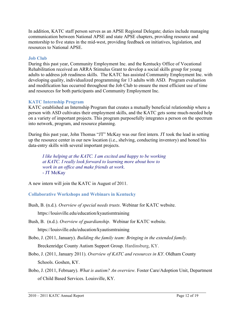In addition, KATC staff person serves as an APSE Regional Delegate; duties include managing communication between National APSE and state APSE chapters, providing resource and mentorship to five states in the mid-west, providing feedback on initiatives, legislation, and resources to National APSE.

# **Job Club**

During this past year, Community Employment Inc. and the Kentucky Office of Vocational Rehabilitation received an ARRA Stimulus Grant to develop a social skills group for young adults to address job readiness skills. The KATC has assisted Community Employment Inc. with developing quality, individualized programming for 13 adults with ASD. Program evaluation and modification has occurred throughout the Job Club to ensure the most efficient use of time and resources for both participants and Community Employment Inc.

# **KATC Internship Program**

KATC established an Internship Program that creates a mutually beneficial relationship where a person with ASD cultivates their employment skills, and the KATC gets some much-needed help on a variety of important projects. This program purposefully integrates a person on the spectrum into network, program, and resource planning.

During this past year, John Thomas "JT" McKay was our first intern. JT took the lead in setting up the resource center in our new location (i.e., shelving, conducting inventory) and honed his data-entry skills with several important projects.

*I like helping at the KATC. I am excited and happy to be working at KATC. I really look forward to learning more about how to work in an office and make friends at work*. - JT McKay

A new intern will join the KATC in August of 2011.

**Collaborative Workshops and Webinars in Kentucky** 

- Bush, B. (n.d.). *Overview of special needs trusts*. Webinar for KATC website. https://louisville.edu/education/kyautismtraining
- Bush, B. (n.d.). *Overview of guardianship*. Webinar for KATC website. https://louisville.edu/education/kyautismtraining
- Bobo, J. (2011, January). *Building the family team: Bringing in the extended family.*  Breckenridge County Autism Support Group. Hardinsburg, KY.
- Bobo, J. (2011, January 2011). *Overview of KATC and resources in KY*. Oldham County Schools. Goshen, KY.
- Bobo, J. (2011, February). *What is autism? An overview.* Foster Care/Adoption Unit, Department of Child Based Services. Louisville, KY.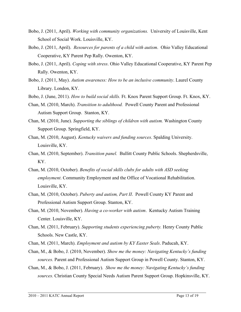- Bobo, J. (2011, April). *Working with community organizations.* University of Louisville, Kent School of Social Work. Louisville, KY.
- Bobo, J. (2011, April). *Resources for parents of a child with autism*. Ohio Valley Educational Cooperative, KY Parent Pep Rally. Owenton, KY.
- Bobo, J. (2011, April). *Coping with stress*. Ohio Valley Educational Cooperative, KY Parent Pep Rally. Owenton, KY.
- Bobo, J. (2011, May). *Autism awareness: How to be an inclusive community*. Laurel County Library. London, KY.
- Bobo, J. (June, 2011). *How to build social skills.* Ft. Knox Parent Support Group. Ft. Knox, KY.
- Chan, M. (2010, March). *Transition to adulthood.* Powell County Parent and Professional Autism Support Group. Stanton, KY.
- Chan, M. (2010, June). *Supporting the siblings of children with autism.* Washington County Support Group. Springfield, KY.
- Chan, M. (2010, August). *Kentucky waivers and funding sources*. Spalding University. Louisville, KY.
- Chan, M. (2010, September). *Transition panel.* Bullitt County Public Schools. Shepherdsville, KY.
- Chan, M. (2010, October). *Benefits of social skills clubs for adults with ASD seeking employment*. Community Employment and the Office of Vocational Rehabilitation. Louisville, KY.
- Chan, M. (2010, October). *Puberty and autism, Part II*. Powell County KY Parent and Professional Autism Support Group. Stanton, KY.
- Chan, M. (2010, November). *Having a co-worker with autism*. Kentucky Autism Training Center. Louisville, KY.
- Chan, M. (2011, February). *Supporting students experiencing puberty.* Henry County Public Schools. New Castle, KY.
- Chan, M. (2011, March). *Employment and autism by KY Easter Seals*. Paducah, KY.
- Chan, M., & Bobo, J. (2010, November). *Show me the money: Navigating Kentucky's funding sources.* Parent and Professional Autism Support Group in Powell County. Stanton, KY.
- Chan, M., & Bobo, J. (2011, February). *Show me the money: Navigating Kentucky's funding sources.* Christian County Special Needs Autism Parent Support Group. Hopkinsville, KY.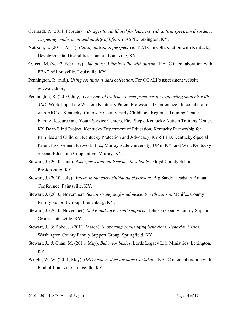- Gerhardt, P. (2011, February). *Bridges to adulthood for learners with autism spectrum disorders: Targeting employment and quality of life.* KY ASPE. Lexington, KY.
- Notbom, E. (2011, April). *Putting autism in perspective.* KATC in collaboration with Kentucky Developmental Disabilities Council. Louisville, KY.
- Osteen, M. (year?, February). *One of us: A family's life with autism*.KATC in collaboration with FEAT of Louisville. Louisville, KY.
- Pennington, R. (n.d.). *Using continuous data collection*. For OCALI's assessment website. www.ocali.org
- Pennington, R. (2010, July). *Overview of evidence-based practices for supporting students with ASD*. Workshop at the Western Kentucky Parent Professional Conference. In collaboration with ARC of Kentucky, Calloway County Early Childhood Regional Training Center, Family Resource and Youth Service Centers, First Steps, Kentucky Autism Training Center, KY Deaf-Blind Project, Kentucky Department of Education, Kentucky Partnership for Families and Children, Kentucky Protection and Advocacy, KY-SEED, Kentucky-Special Parent Involvement Network, Inc., Murray State University, UP in KY, and West Kentucky Special Education Cooperative. Murray, KY.
- Stewart, J. (2010, June). *Asperger's and adolescence in schools*. Floyd County Schools. Prestonsburg, KY.
- Stewart, J. (2010, July). *Autism in the early childhood classroom.* Big Sandy Headstart Annual Conference. Paintsville, KY.
- Stewart, J. (2010, November). *Social strategies for adolescents with autism*. Menifee County Family Support Group. Frenchburg, KY.
- Stewart, J. (2010, November). *Make-and-take visual supports*. Johnson County Family Support Group. Paintsville, KY.
- Stewart, J., & Bobo, J. (2011, March). *Supporting challenging behaviors: Behavior basics*. Washington County Family Support Group. Springfield, KY.
- Stewart, J., & Chan, M. (2011, May). *Behavior basics*. Lords Legacy Life Ministries. Lexington, KY.
- Wright, W. W. (2011, May). *DADvocacy: Just for dads workshop*. KATC in collaboration with Find of Louisville. Louisville, KY.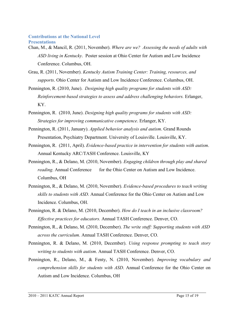#### **Contributions at the National Level Presentations**

- Chan, M., & Mancil, R. (2011, November). *Where are we? Assessing the needs of adults with ASD living in Kentucky*. Poster session at Ohio Center for Autism and Low Incidence Conference. Columbus, OH.
- Grau, R. (2011, November). *Kentucky Autism Training Center: Training, resources, and supports*. Ohio Center for Autism and Low Incidence Conference. Columbus, OH.
- Pennington, R. (2010, June). *Designing high quality programs for students with ASD: Reinforcement-based strategies to assess and address challenging behaviors.* Erlanger, KY.
- Pennington, R. (2010, June). *Designing high quality programs for students with ASD: Strategies for improving communicative competence*. Erlanger, KY.
- Pennington, R. (2011, January). *Applied behavior analysis and autism*. Grand Rounds Presentation, Psychiatry Department. University of Louisville. Louisville, KY.
- Pennington, R. (2011, April). *Evidence-based practice in intervention for students with autism*. Annual Kentucky ARC/TASH Conference. Louisville, KY
- Pennington, R., & Delano, M. (2010, November). *Engaging children through play and shared reading*. Annual Conference for the Ohio Center on Autism and Low Incidence. Columbus, OH
- Pennington, R., & Delano, M. (2010, November). *Evidence-based procedures to teach writing skills to students with ASD*. Annual Conference for the Ohio Center on Autism and Low Incidence. Columbus, OH.
- Pennington, R. & Delano, M. (2010, December). *How do I teach in an inclusive classroom? Effective practices for educators.* Annual TASH Conference. Denver, CO.
- Pennington, R., & Delano, M. (2010, December). *The write stuff: Supporting students with ASD across the curriculum*. Annual TASH Conference. Denver, CO.
- Pennington, R. & Delano, M. (2010, December). *Using response prompting to teach story writing to students with autism*. Annual TASH Conference. Denver, CO.
- Pennington, R., Delano, M., & Fenty, N. (2010, November). *Improving vocabulary and comprehension skills for students with ASD*. Annual Conference for the Ohio Center on Autism and Low Incidence. Columbus, OH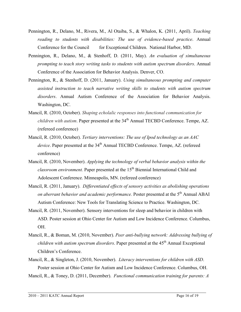- Pennington, R., Delano, M., Rivera, M., Al Otaiba, S., & Whalon, K. (2011, April). *Teaching reading to students with disabilities: The use of evidence-based practice*. Annual Conference for the Council for Exceptional Children. National Harbor, MD.
- Pennington, R., Delano, M., & Stenhoff, D. (2011, May). *An evaluation of simultaneous prompting to teach story writing tasks to students with autism spectrum disorders*. Annual Conference of the Association for Behavior Analysis. Denver, CO.
- Pennington, R., & Stenhoff, D. (2011, January). *Using simultaneous prompting and computer assisted instruction to teach narrative writing skills to students with autism spectrum disorders*. Annual Autism Conference of the Association for Behavior Analysis. Washington, DC.
- Mancil, R. (2010, October). *Shaping echolalic responses into functional communication for children with autism.* Paper presented at the 34<sup>th</sup> Annual TECBD Conference. Tempe, AZ. (refereed conference)
- Mancil, R. (2010, October). *Tertiary interventions: The use of Ipod technology as an AAC device*. Paper presented at the 34<sup>th</sup> Annual TECBD Conference. Tempe, AZ. (refereed conference)
- Mancil, R. (2010, November). *Applying the technology of verbal behavior analysis within the classroom environment.* Paper presented at the 15<sup>th</sup> Biennial International Child and Adolescent Conference. Minneapolis, MN. (refereed conference)
- Mancil, R. (2011, January). *Differentiated effects of sensory activities as abolishing operations on aberrant behavior and academic performance*. Poster presented at the 5<sup>th</sup> Annual ABAI Autism Conference: New Tools for Translating Science to Practice. Washington, DC.
- Mancil, R. (2011, November). Sensory interventions for sleep and behavior in children with ASD. Poster session at Ohio Center for Autism and Low Incidence Conference. Columbus, OH.
- Mancil, R., & Boman, M. (2010, November). *Peer anti-bullying network: Addressing bullying of children with autism spectrum disorders*. Paper presented at the 45<sup>th</sup> Annual Exceptional Children's Conference.
- Mancil, R., & Singleton, J. (2010, November). *Literacy interventions for children with ASD*. Poster session at Ohio Center for Autism and Low Incidence Conference. Columbus, OH.
- Mancil, R., & Toney, D. (2011, December). *Functional communication training for parents: A*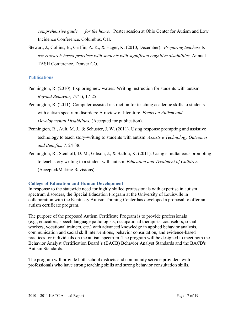*comprehensive guide for the home.* Poster session at Ohio Center for Autism and Low Incidence Conference. Columbus, OH.

Stewart, J., Collins, B., Griffin, A. K., & Hager, K. (2010, December). *Preparing teachers to use research-based practices with students with significant cognitive disabilities*. Annual TASH Conference. Denver CO.

# **Publications**

- Pennington, R. (2010). Exploring new waters: Writing instruction for students with autism. *Beyond Behavior, 19(*1), 17-25.
- Pennington, R. (2011). Computer-assisted instruction for teaching academic skills to students with autism spectrum disorders: A review of literature. *Focus on Autism and Developmental Disabilities.* (Accepted for publication).
- Pennington, R., Ault, M. J., & Schuster, J. W. (2011). Using response prompting and assistive technology to teach story-writing to students with autism. *Assistive Technology Outcomes and Benefits, 7,* 24-38.
- Pennington, R., Stenhoff, D. M., Gibson, J., & Ballou, K. (2011). Using simultaneous prompting to teach story writing to a student with autism. *Education and Treatment of Children.* (Accepted/Making Revisions).

# **College of Education and Human Development**

In response to the statewide need for highly skilled professionals with expertise in autism spectrum disorders, the Special Education Program at the University of Louisville in collaboration with the Kentucky Autism Training Center has developed a proposal to offer an autism certificate program.

The purpose of the proposed Autism Certificate Program is to provide professionals (e.g., educators, speech language pathologists, occupational therapists, counselors, social workers, vocational trainers, etc.) with advanced knowledge in applied behavior analysis, communication and social skill interventions, behavior consultation, and evidence-based practices for individuals on the autism spectrum. The program will be designed to meet both the Behavior Analyst Certification Board's (BACB) Behavior Analyst Standards and the BACB's Autism Standards.

The program will provide both school districts and community service providers with professionals who have strong teaching skills and strong behavior consultation skills.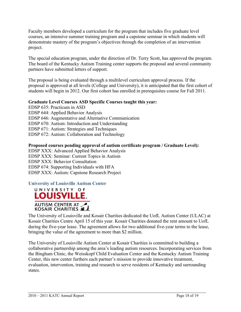Faculty members developed a curriculum for the program that includes five graduate level courses, an intensive summer training program and a capstone seminar in which students will demonstrate mastery of the program's objectives through the completion of an intervention project.

The special education program, under the direction of Dr. Terry Scott, has approved the program. The board of the Kentucky Autism Training center supports the proposal and several community partners have submitted letters of support.

The proposal is being evaluated through a multilevel curriculum approval process. If the proposal is approved at all levels (College and University), it is anticipated that the first cohort of students will begin in 2012. Our first cohort has enrolled in prerequisites course for Fall 2011.

# **Graduate Level Courses ASD Specific Courses taught this year:**

EDSP 635: Practicum in ASD EDSP 644: Applied Behavior Analysis EDSP 646: Augmentative and Alternative Communication EDSP 670: Autism: Introduction and Understanding EDSP 671: Autism: Strategies and Techniques EDSP 672: Autism: Collaboration and Technology

# **Proposed courses pending approval of autism certificate program / Graduate Level):**

EDSP XXX: Advanced Applied Behavior Analysis EDSP XXX: Seminar: Current Topics in Autism EDSP XXX: Behavior Consultation EDSP 674: Supporting Individuals with HFA EDSP XXX: Autism: Capstone Research Project

**University of Louisville Autism Center**



The University of Louisville and Kosair Charities dedicated the UofL Autism Center (ULAC) at Kosair Charities Centre April 15 of this year. Kosair Charities donated the rent amount to UofL during the five-year lease. The agreement allows for two additional five-year terms to the lease, bringing the value of the agreement to more than \$2 million.

The University of Louisville Autism Center at Kosair Charities is committed to building a collaborative partnership among the area's leading autism resources. Incorporating services from the Bingham Clinic, the Weisskopf Child Evaluation Center and the Kentucky Autism Training Center, this new center furthers each partner's mission to provide innovative treatment, evaluation, intervention, training and research to serve residents of Kentucky and surrounding states.